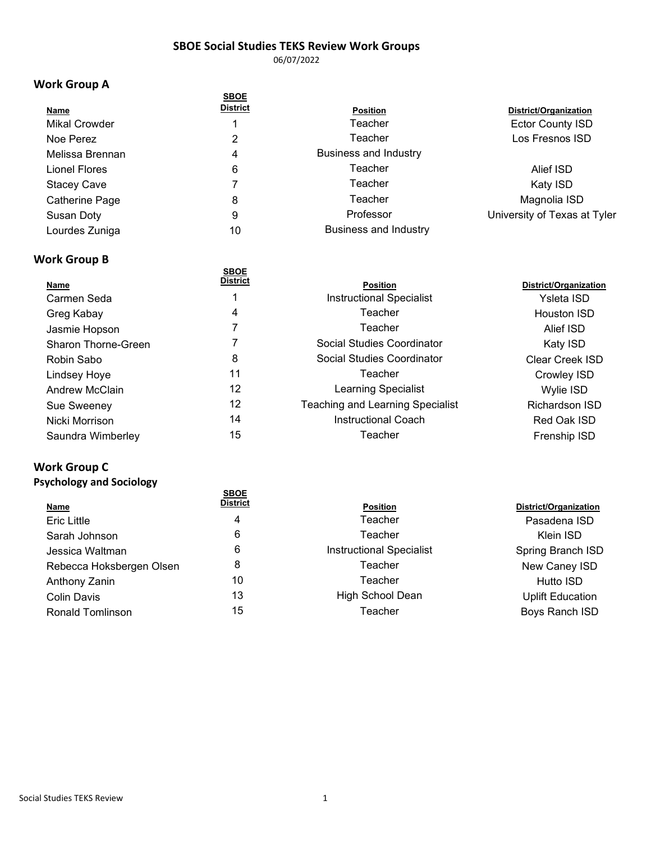06/07/2022

## **Work Group A**

| District/Organization<br><b>Ector County ISD</b> |
|--------------------------------------------------|
|                                                  |
|                                                  |
| Los Fresnos ISD                                  |
|                                                  |
| Alief ISD                                        |
| Katy ISD                                         |
| Magnolia ISD                                     |
| University of Texas at Tyler                     |
|                                                  |
|                                                  |

## **Work Group B**

| <b>SBOE</b>     |                                         |                       |
|-----------------|-----------------------------------------|-----------------------|
| <b>District</b> | <b>Position</b>                         | District/Organization |
|                 | <b>Instructional Specialist</b>         | Ysleta ISD            |
| 4               | Teacher                                 | Houston ISD           |
|                 | Teacher                                 | Alief ISD             |
|                 | Social Studies Coordinator              | Katy ISD              |
| 8               | Social Studies Coordinator              | Clear Creek ISD       |
| 11              | Teacher                                 | Crowley ISD           |
| 12              | Learning Specialist                     | Wylie ISD             |
| 12              | <b>Teaching and Learning Specialist</b> | Richardson ISD        |
| 14              | <b>Instructional Coach</b>              | Red Oak ISD           |
| 15              | Teacher                                 | Frenship ISD          |
|                 |                                         |                       |

# **Work Group C**

## **Psychology and Sociology**

| <b>District</b> | <b>Position</b>                 | District/Organization   |
|-----------------|---------------------------------|-------------------------|
| 4               | Teacher                         | Pasadena ISD            |
| 6               | Teacher                         | Klein ISD               |
| 6               | <b>Instructional Specialist</b> | Spring Branch ISD       |
| 8               | Teacher                         | New Caney ISD           |
| 10              | Teacher                         | Hutto ISD               |
| 13              | High School Dean                | <b>Uplift Education</b> |
| 15              | Teacher                         | Boys Ranch ISD          |
|                 | <b>SBOE</b>                     |                         |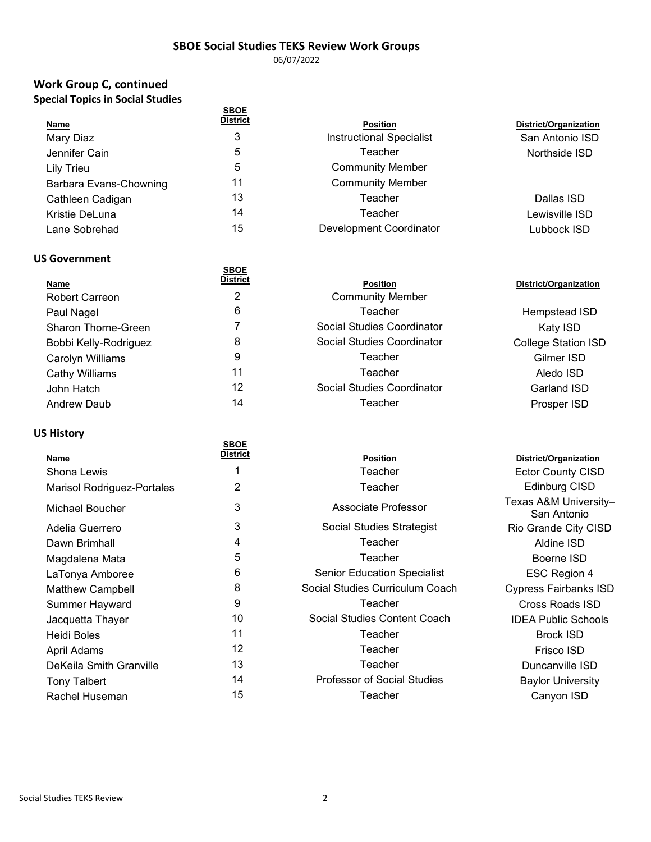06/07/2022

## **Work Group C, continued Special Topics in Social Studies**

|                        | <b>SBOE</b><br>District |                                 |                       |
|------------------------|-------------------------|---------------------------------|-----------------------|
| <b>Name</b>            |                         | <b>Position</b>                 | District/Organization |
| Mary Diaz              | 3                       | <b>Instructional Specialist</b> | San Antonio ISD       |
| Jennifer Cain          | 5                       | Teacher                         | Northside ISD         |
| Lily Trieu             | 5                       | <b>Community Member</b>         |                       |
| Barbara Evans-Chowning | 11                      | <b>Community Member</b>         |                       |
| Cathleen Cadigan       | 13                      | Teacher                         | Dallas ISD            |
| Kristie DeLuna         | 14                      | Teacher                         | Lewisville ISD        |
| Lane Sobrehad          | 15                      | Development Coordinator         | Lubbock ISD           |

#### **US Government**

| <b>Name</b>                | <b>SBOE</b><br><b>District</b> | <b>Position</b>            | District/Organization      |
|----------------------------|--------------------------------|----------------------------|----------------------------|
| <b>Robert Carreon</b>      | 2                              | <b>Community Member</b>    |                            |
| Paul Nagel                 | 6                              | Teacher                    | Hempstead ISD              |
| <b>Sharon Thorne-Green</b> |                                | Social Studies Coordinator | Katy ISD                   |
| Bobbi Kelly-Rodriguez      | 8                              | Social Studies Coordinator | <b>College Station ISD</b> |
| Carolyn Williams           | 9                              | Teacher                    | Gilmer ISD                 |
| Cathy Williams             | 11                             | Teacher                    | Aledo ISD                  |
| John Hatch                 | 12                             | Social Studies Coordinator | Garland ISD                |
| <b>Andrew Daub</b>         | 14                             | Teacher                    | Prosper ISD                |
|                            |                                |                            |                            |

#### **US History**

| ,, , ,,, , , ,                    |                                |                                    |                                      |
|-----------------------------------|--------------------------------|------------------------------------|--------------------------------------|
| Name                              | <b>SBOE</b><br><b>District</b> | <b>Position</b>                    | District/Organization                |
| Shona Lewis                       |                                | Teacher                            | <b>Ector County CISD</b>             |
| <b>Marisol Rodriguez-Portales</b> | 2                              | Teacher                            | Edinburg CISD                        |
| Michael Boucher                   | 3                              | Associate Professor                | Texas A&M University-<br>San Antonio |
| Adelia Guerrero                   | 3                              | Social Studies Strategist          | Rio Grande City CISD                 |
| Dawn Brimhall                     | 4                              | Teacher                            | Aldine ISD                           |
| Magdalena Mata                    | 5                              | Teacher                            | Boerne ISD                           |
| LaTonya Amboree                   | 6                              | <b>Senior Education Specialist</b> | ESC Region 4                         |
| <b>Matthew Campbell</b>           | 8                              | Social Studies Curriculum Coach    | <b>Cypress Fairbanks ISD</b>         |
| Summer Hayward                    | 9                              | Teacher                            | <b>Cross Roads ISD</b>               |
| Jacquetta Thayer                  | 10                             | Social Studies Content Coach       | <b>IDEA Public Schools</b>           |
| Heidi Boles                       | 11                             | Teacher                            | <b>Brock ISD</b>                     |
| April Adams                       | 12                             | Teacher                            | Frisco ISD                           |
| DeKeila Smith Granville           | 13                             | Teacher                            | Duncanville ISD                      |
| <b>Tony Talbert</b>               | 14                             | <b>Professor of Social Studies</b> | <b>Baylor University</b>             |
| Rachel Huseman                    | 15                             | Teacher                            | Canyon ISD                           |
|                                   |                                |                                    |                                      |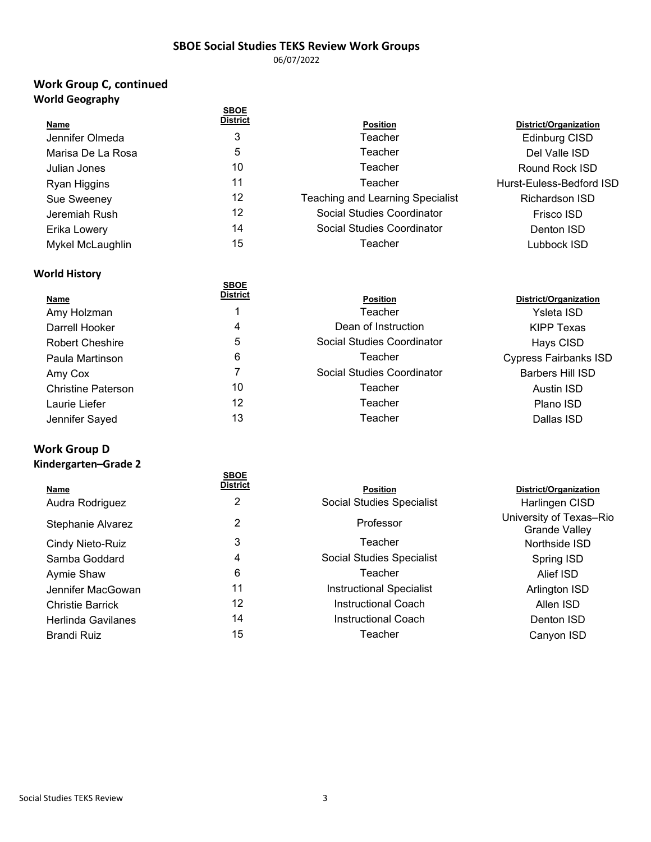06/07/2022

## **Work Group C, continued World Geography**

|                   | <b>SBOE</b>     |                                         |                          |
|-------------------|-----------------|-----------------------------------------|--------------------------|
| <b>Name</b>       | <b>District</b> | <b>Position</b>                         | District/Organization    |
| Jennifer Olmeda   | 3               | Teacher                                 | <b>Edinburg CISD</b>     |
| Marisa De La Rosa | 5               | Teacher                                 | Del Valle ISD            |
| Julian Jones      | 10              | Teacher                                 | Round Rock ISD           |
| Ryan Higgins      | 11              | Teacher                                 | Hurst-Euless-Bedford ISD |
| Sue Sweeney       | 12              | <b>Teaching and Learning Specialist</b> | Richardson ISD           |
| Jeremiah Rush     | 12              | Social Studies Coordinator              | Frisco ISD               |
| Erika Lowery      | 14              | Social Studies Coordinator              | Denton ISD               |
| Mykel McLaughlin  | 15              | Teacher                                 | Lubbock ISD              |
|                   |                 |                                         |                          |

#### **World History**

| <b>Name</b>               | <b>SBOE</b><br><b>District</b> | <b>Position</b>            | District/Organization        |
|---------------------------|--------------------------------|----------------------------|------------------------------|
| Amy Holzman               |                                | Teacher                    | Ysleta ISD                   |
| Darrell Hooker            | 4                              | Dean of Instruction        | <b>KIPP Texas</b>            |
| <b>Robert Cheshire</b>    | 5                              | Social Studies Coordinator | Hays CISD                    |
| Paula Martinson           | 6                              | Teacher                    | <b>Cypress Fairbanks ISD</b> |
| Amy Cox                   |                                | Social Studies Coordinator | <b>Barbers Hill ISD</b>      |
| <b>Christine Paterson</b> | 10                             | Teacher                    | Austin ISD                   |
| Laurie Liefer             | 12                             | Teacher                    | Plano ISD                    |
| Jennifer Sayed            | 13                             | Teacher                    | Dallas ISD                   |
|                           |                                |                            |                              |

# **Work Group D**

## **Kindergarten–Grade 2**

| Name<br>Audra Rodriguez | <b>SBOE</b><br><b>District</b><br>2 | <b>Position</b><br>Social Studies Specialist | District/Organization<br>Harlingen CISD         |
|-------------------------|-------------------------------------|----------------------------------------------|-------------------------------------------------|
| Stephanie Alvarez       | 2                                   | Professor                                    | University of Texas-Rio<br><b>Grande Valley</b> |
| Cindy Nieto-Ruiz        | 3                                   | Teacher                                      | Northside ISD                                   |
| Samba Goddard           | 4                                   | Social Studies Specialist                    | Spring ISD                                      |
| Aymie Shaw              | 6                                   | Teacher                                      | Alief ISD                                       |
| Jennifer MacGowan       | 11                                  | <b>Instructional Specialist</b>              | Arlington ISD                                   |
| <b>Christie Barrick</b> | 12                                  | <b>Instructional Coach</b>                   | Allen ISD                                       |
| Herlinda Gavilanes      | 14                                  | <b>Instructional Coach</b>                   | Denton ISD                                      |
| Brandi Ruiz             | 15                                  | Teacher                                      | Canyon ISD                                      |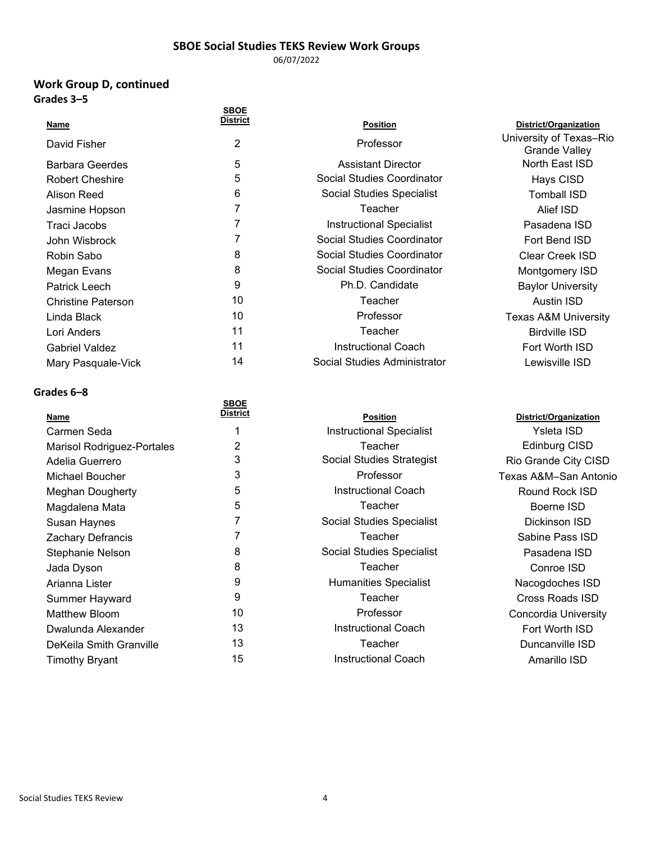06/07/2022

#### **Work Group D, continued Grades 3–5**

|                           | <b>SBOE</b>     |                                 |                                                 |
|---------------------------|-----------------|---------------------------------|-------------------------------------------------|
| Name                      | <b>District</b> | <b>Position</b>                 | District/Organization                           |
| David Fisher              | 2               | Professor                       | University of Texas-Rio<br><b>Grande Valley</b> |
| <b>Barbara Geerdes</b>    | 5               | <b>Assistant Director</b>       | North East ISD                                  |
| <b>Robert Cheshire</b>    | 5               | Social Studies Coordinator      | Hays CISD                                       |
| Alison Reed               | 6               | Social Studies Specialist       | Tomball ISD                                     |
| Jasmine Hopson            |                 | Teacher                         | Alief ISD                                       |
| Traci Jacobs              |                 | <b>Instructional Specialist</b> | Pasadena ISD                                    |
| John Wisbrock             |                 | Social Studies Coordinator      | Fort Bend ISD                                   |
| Robin Sabo                | 8               | Social Studies Coordinator      | Clear Creek ISD                                 |
| Megan Evans               | 8               | Social Studies Coordinator      | Montgomery ISD                                  |
| Patrick Leech             | 9               | Ph.D. Candidate                 | <b>Baylor University</b>                        |
| <b>Christine Paterson</b> | 10              | Teacher                         | <b>Austin ISD</b>                               |
| Linda Black               | 10              | Professor                       | <b>Texas A&amp;M University</b>                 |
| Lori Anders               | 11              | Teacher                         | <b>Birdville ISD</b>                            |
| <b>Gabriel Valdez</b>     | 11              | <b>Instructional Coach</b>      | Fort Worth ISD                                  |
| Mary Pasquale-Vick        | 14              | Social Studies Administrator    | Lewisville ISD                                  |
|                           |                 |                                 |                                                 |

#### **Grades 6–8**

|                                   | <b>SBOE</b>     |                                 |                    |
|-----------------------------------|-----------------|---------------------------------|--------------------|
| Name                              | <b>District</b> | <b>Position</b>                 | District/Organizat |
| Carmen Seda                       |                 | <b>Instructional Specialist</b> | Ysleta ISD         |
| <b>Marisol Rodriguez-Portales</b> | 2               | Teacher                         | Edinburg CIS       |
| Adelia Guerrero                   | 3               | Social Studies Strategist       | Rio Grande City (  |
| Michael Boucher                   | 3               | Professor                       | Texas A&M-San A    |
| <b>Meghan Dougherty</b>           | 5               | <b>Instructional Coach</b>      | Round Rock IS      |
| Magdalena Mata                    | 5               | Teacher                         | Boerne ISD         |
| Susan Haynes                      |                 | Social Studies Specialist       | Dickinson ISD      |
| <b>Zachary Defrancis</b>          | 7               | Teacher                         | Sabine Pass IS     |
| Stephanie Nelson                  | 8               | Social Studies Specialist       | Pasadena ISI       |
| Jada Dyson                        | 8               | Teacher                         | Conroe ISD         |
| Arianna Lister                    | 9               | <b>Humanities Specialist</b>    | Nacogdoches I      |
| Summer Hayward                    | 9               | Teacher                         | Cross Roads IS     |
| Matthew Bloom                     | 10              | Professor                       | Concordia Unive    |
| Dwalunda Alexander                | 13              | Instructional Coach             | Fort Worth ISI     |
| DeKeila Smith Granville           | 13              | Teacher                         | Duncanville IS     |
| <b>Timothy Bryant</b>             | 15              | <b>Instructional Coach</b>      | Amarillo ISD       |

| <b>Position</b>                 |  |
|---------------------------------|--|
| <b>Instructional Specialist</b> |  |
| Teacher                         |  |
| Social Studies Strategist       |  |
| Professor                       |  |
| Instructional Coach             |  |
| Teacher                         |  |
| Social Studies Specialist       |  |
| Teacher                         |  |
| Social Studies Specialist       |  |
| Teacher                         |  |
| Humanities Specialist           |  |
| Teacher                         |  |
| Professor                       |  |
| Instructional Coach             |  |
| Teacher                         |  |
| Instructional Coach             |  |

**District/Organization** Edinburg CISD Rio Grande City CISD Texas A&M–San Antonio Round Rock ISD Dickinson ISD Sabine Pass ISD Pasadena ISD Nacogdoches ISD Cross Roads ISD Concordia University Fort Worth ISD Duncanville ISD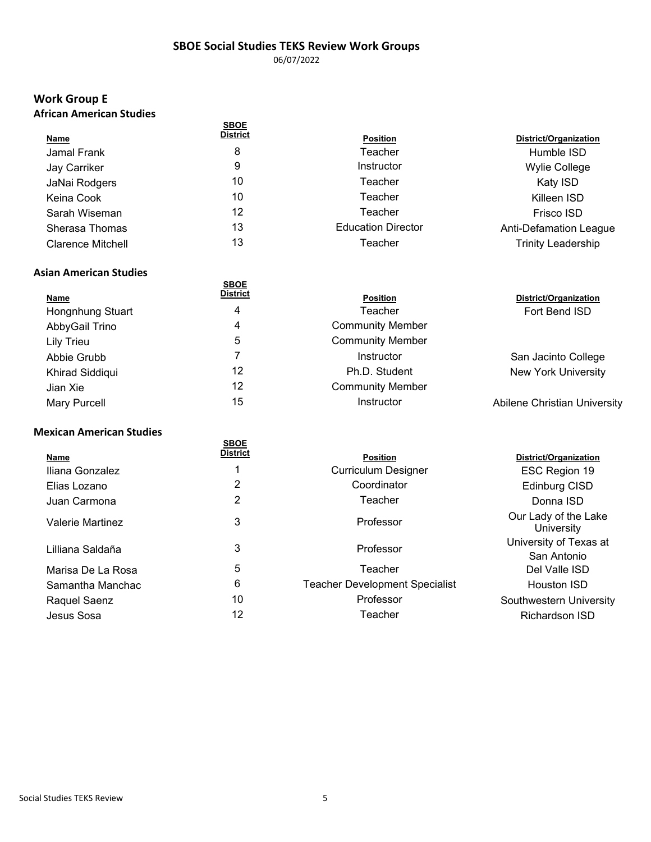06/07/2022

# **Work Group E**

|  | African American Studies |  |
|--|--------------------------|--|
|--|--------------------------|--|

| ,,,,,,,,,,,,,,,,,,,,,,,,,,,,,, |                 |                           |                               |
|--------------------------------|-----------------|---------------------------|-------------------------------|
|                                | <b>SBOE</b>     |                           |                               |
| <u>Name</u>                    | <b>District</b> | <b>Position</b>           | District/Organization         |
| Jamal Frank                    | 8               | Teacher                   | Humble ISD                    |
| Jay Carriker                   | 9               | Instructor                | <b>Wylie College</b>          |
| JaNai Rodgers                  | 10              | Teacher                   | Katy ISD                      |
| Keina Cook                     | 10              | Teacher                   | Killeen ISD                   |
| Sarah Wiseman                  | 12              | Teacher                   | Frisco ISD                    |
| Sherasa Thomas                 | 13              | <b>Education Director</b> | <b>Anti-Defamation League</b> |
| <b>Clarence Mitchell</b>       | 13              | Teacher                   | <b>Trinity Leadership</b>     |
|                                |                 |                           |                               |

#### **Asian American Studies**

| Name             | <b>SBOE</b><br><b>District</b> | <b>Position</b>         | District/Organization               |
|------------------|--------------------------------|-------------------------|-------------------------------------|
| Hongnhung Stuart | 4                              | Teacher                 | Fort Bend ISD                       |
| AbbyGail Trino   | 4                              | <b>Community Member</b> |                                     |
| Lily Trieu       | 5                              | <b>Community Member</b> |                                     |
| Abbie Grubb      |                                | Instructor              | San Jacinto College                 |
| Khirad Siddiqui  | 12                             | Ph.D. Student           | <b>New York University</b>          |
| Jian Xie         | 12                             | <b>Community Member</b> |                                     |
| Mary Purcell     | 15                             | <b>Instructor</b>       | <b>Abilene Christian University</b> |
|                  |                                |                         |                                     |

#### **Mexican American Studies**

|                         | <b>SBOE</b>     |                                       |                                       |
|-------------------------|-----------------|---------------------------------------|---------------------------------------|
| Name                    | <b>District</b> | <b>Position</b>                       | District/Organization                 |
| Iliana Gonzalez         |                 | <b>Curriculum Designer</b>            | ESC Region 19                         |
| Elias Lozano            | 2               | Coordinator                           | Edinburg CISD                         |
| Juan Carmona            | 2               | Teacher                               | Donna ISD                             |
| <b>Valerie Martinez</b> | 3               | Professor                             | Our Lady of the Lake<br>University    |
| Lilliana Saldaña        | 3               | Professor                             | University of Texas at<br>San Antonio |
| Marisa De La Rosa       | 5               | Teacher                               | Del Valle ISD                         |
| Samantha Manchac        | 6               | <b>Teacher Development Specialist</b> | Houston ISD                           |
| Raquel Saenz            | 10              | Professor                             | Southwestern University               |
| Jesus Sosa              | 12              | Teacher                               | <b>Richardson ISD</b>                 |
|                         |                 |                                       |                                       |